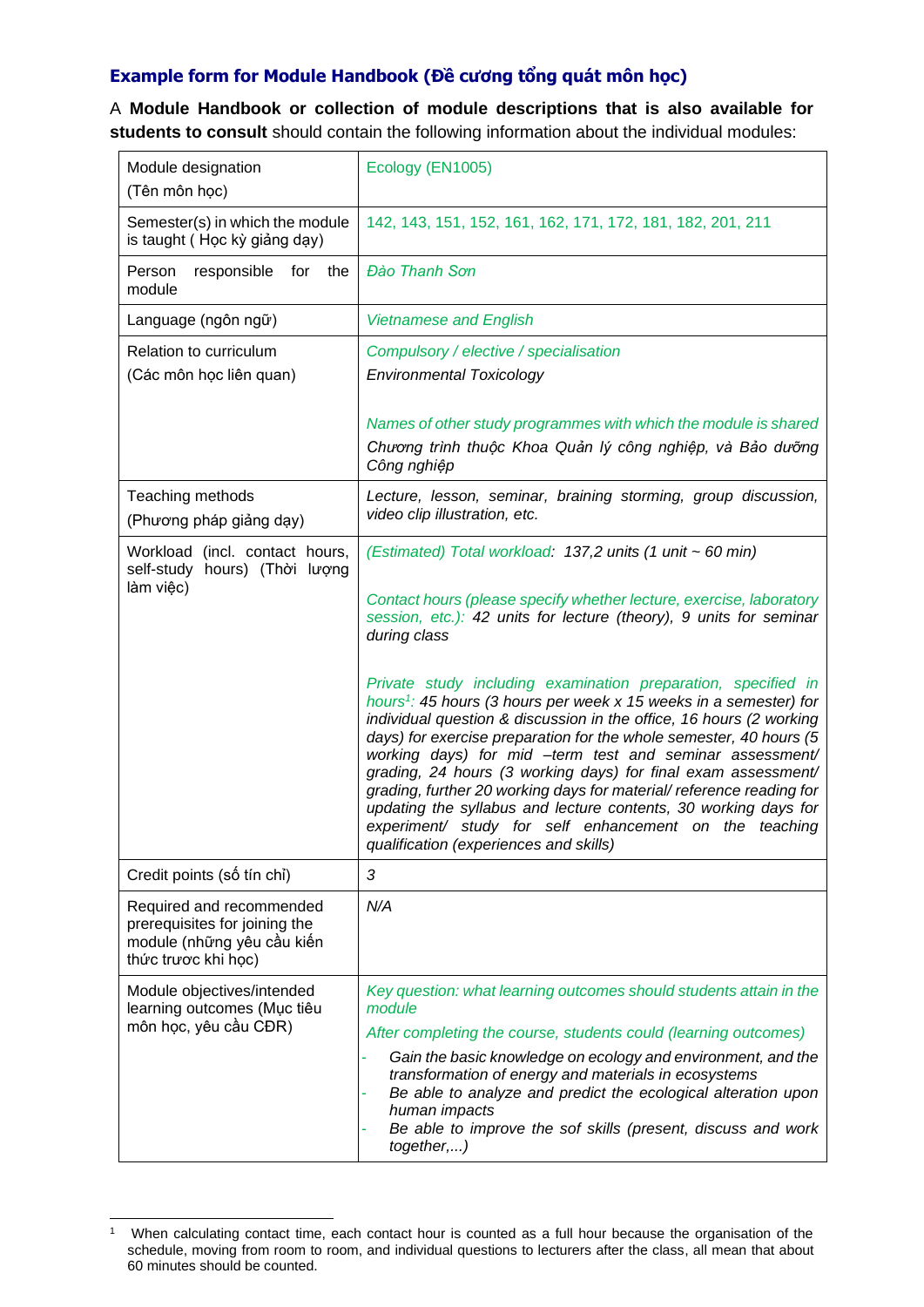## **Example form for Module Handbook (Đề cương tổng quát môn học)**

A **Module Handbook or collection of module descriptions that is also available for students to consult** should contain the following information about the individual modules:

| Module designation<br>(Tên môn học)                                                                            | Ecology (EN1005)                                                                                                                                                                                                                                                                                                                                                                                                                                                                                                                                                                                                                                                         |
|----------------------------------------------------------------------------------------------------------------|--------------------------------------------------------------------------------------------------------------------------------------------------------------------------------------------------------------------------------------------------------------------------------------------------------------------------------------------------------------------------------------------------------------------------------------------------------------------------------------------------------------------------------------------------------------------------------------------------------------------------------------------------------------------------|
| Semester(s) in which the module<br>is taught (Học kỳ giảng dạy)                                                | 142, 143, 151, 152, 161, 162, 171, 172, 181, 182, 201, 211                                                                                                                                                                                                                                                                                                                                                                                                                                                                                                                                                                                                               |
| Person<br>responsible<br>for the<br>module                                                                     | Đào Thanh Sơn                                                                                                                                                                                                                                                                                                                                                                                                                                                                                                                                                                                                                                                            |
| Language (ngôn ngữ)                                                                                            | <b>Vietnamese and English</b>                                                                                                                                                                                                                                                                                                                                                                                                                                                                                                                                                                                                                                            |
| Relation to curriculum<br>(Các môn học liên quan)                                                              | Compulsory / elective / specialisation<br><b>Environmental Toxicology</b>                                                                                                                                                                                                                                                                                                                                                                                                                                                                                                                                                                                                |
|                                                                                                                | Names of other study programmes with which the module is shared<br>Chương trình thuộc Khoa Quản lý công nghiệp, và Bảo dưỡng<br>Công nghiệp                                                                                                                                                                                                                                                                                                                                                                                                                                                                                                                              |
| Teaching methods<br>(Phương pháp giảng dạy)                                                                    | Lecture, lesson, seminar, braining storming, group discussion,<br>video clip illustration, etc.                                                                                                                                                                                                                                                                                                                                                                                                                                                                                                                                                                          |
| Workload (incl. contact hours,<br>self-study hours) (Thời lượng<br>làm việc)                                   | (Estimated) Total workload: 137,2 units (1 unit ~ 60 min)                                                                                                                                                                                                                                                                                                                                                                                                                                                                                                                                                                                                                |
|                                                                                                                | Contact hours (please specify whether lecture, exercise, laboratory<br>session, etc.): 42 units for lecture (theory), 9 units for seminar<br>during class                                                                                                                                                                                                                                                                                                                                                                                                                                                                                                                |
|                                                                                                                | Private study including examination preparation, specified in<br>hours <sup>1</sup> : 45 hours (3 hours per week $x$ 15 weeks in a semester) for<br>individual question & discussion in the office, 16 hours (2 working<br>days) for exercise preparation for the whole semester, 40 hours (5<br>working days) for mid -term test and seminar assessment/<br>grading, 24 hours (3 working days) for final exam assessment/<br>grading, further 20 working days for material/reference reading for<br>updating the syllabus and lecture contents, 30 working days for<br>experiment/ study for self enhancement on the teaching<br>qualification (experiences and skills) |
| Credit points (số tín chỉ)                                                                                     | $\sqrt{3}$                                                                                                                                                                                                                                                                                                                                                                                                                                                                                                                                                                                                                                                               |
| Required and recommended<br>prerequisites for joining the<br>module (những yêu cầu kiến<br>thức trược khi học) | N/A                                                                                                                                                                                                                                                                                                                                                                                                                                                                                                                                                                                                                                                                      |
| Module objectives/intended<br>learning outcomes (Mục tiêu<br>môn học, yêu cầu CĐR)                             | Key question: what learning outcomes should students attain in the<br>module<br>After completing the course, students could (learning outcomes)                                                                                                                                                                                                                                                                                                                                                                                                                                                                                                                          |
|                                                                                                                | Gain the basic knowledge on ecology and environment, and the<br>transformation of energy and materials in ecosystems<br>Be able to analyze and predict the ecological alteration upon<br>human impacts<br>Be able to improve the sof skills (present, discuss and work<br>together,)                                                                                                                                                                                                                                                                                                                                                                                     |

<sup>1</sup> When calculating contact time, each contact hour is counted as a full hour because the organisation of the schedule, moving from room to room, and individual questions to lecturers after the class, all mean that about 60 minutes should be counted.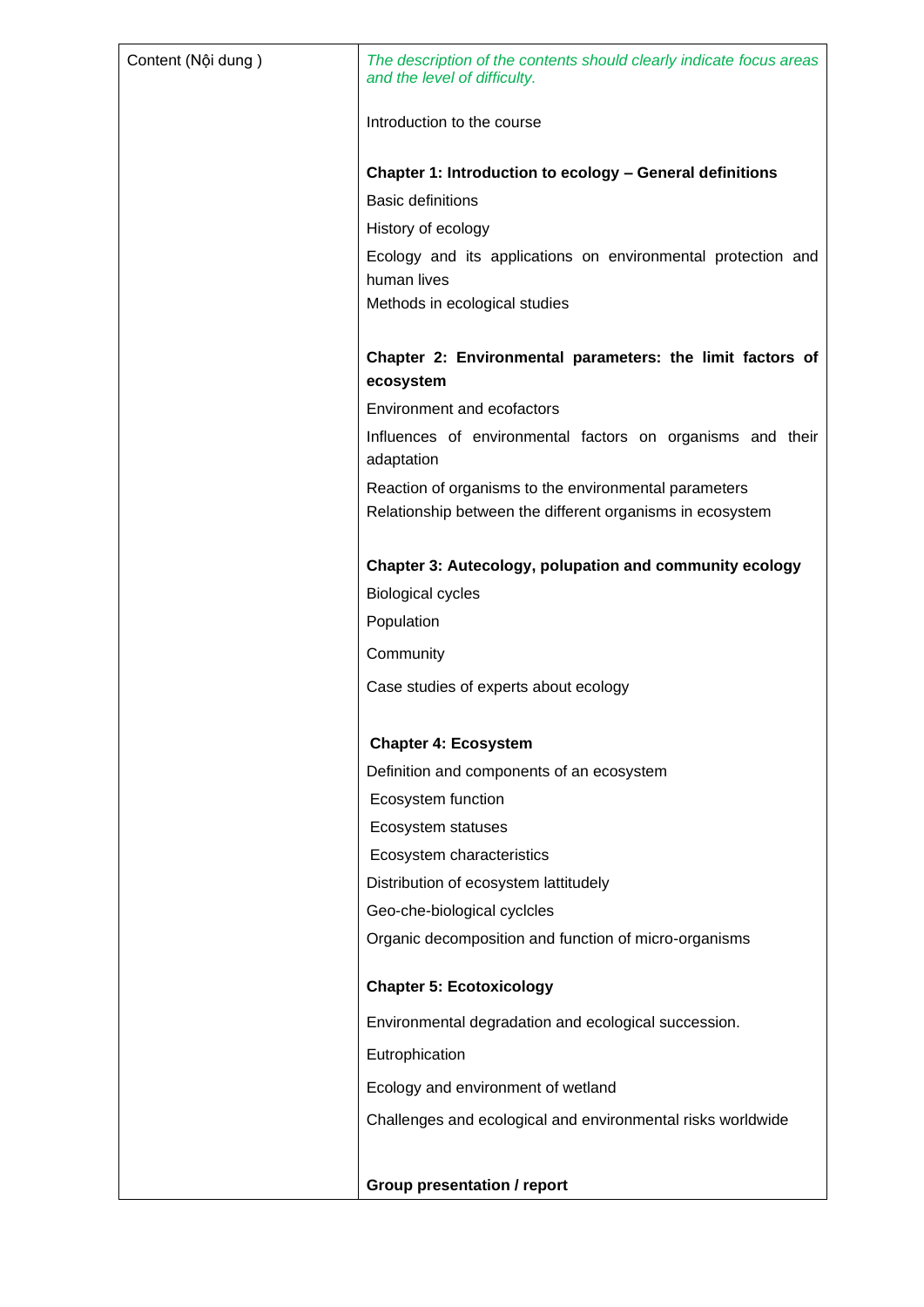| Content (Nội dung) | The description of the contents should clearly indicate focus areas<br>and the level of difficulty.                |
|--------------------|--------------------------------------------------------------------------------------------------------------------|
|                    | Introduction to the course                                                                                         |
|                    | Chapter 1: Introduction to ecology - General definitions                                                           |
|                    | <b>Basic definitions</b>                                                                                           |
|                    | History of ecology                                                                                                 |
|                    | Ecology and its applications on environmental protection and<br>human lives                                        |
|                    | Methods in ecological studies                                                                                      |
|                    | Chapter 2: Environmental parameters: the limit factors of<br>ecosystem                                             |
|                    | <b>Environment and ecofactors</b>                                                                                  |
|                    | Influences of environmental factors on organisms and their<br>adaptation                                           |
|                    | Reaction of organisms to the environmental parameters<br>Relationship between the different organisms in ecosystem |
|                    | <b>Chapter 3: Autecology, polupation and community ecology</b>                                                     |
|                    | <b>Biological cycles</b>                                                                                           |
|                    | Population                                                                                                         |
|                    | Community                                                                                                          |
|                    | Case studies of experts about ecology                                                                              |
|                    | <b>Chapter 4: Ecosystem</b>                                                                                        |
|                    | Definition and components of an ecosystem                                                                          |
|                    | Ecosystem function                                                                                                 |
|                    | Ecosystem statuses                                                                                                 |
|                    | Ecosystem characteristics                                                                                          |
|                    | Distribution of ecosystem lattitudely                                                                              |
|                    | Geo-che-biological cyclcles                                                                                        |
|                    | Organic decomposition and function of micro-organisms                                                              |
|                    | <b>Chapter 5: Ecotoxicology</b>                                                                                    |
|                    | Environmental degradation and ecological succession.                                                               |
|                    | Eutrophication                                                                                                     |
|                    | Ecology and environment of wetland                                                                                 |
|                    | Challenges and ecological and environmental risks worldwide                                                        |
|                    |                                                                                                                    |
|                    | <b>Group presentation / report</b>                                                                                 |